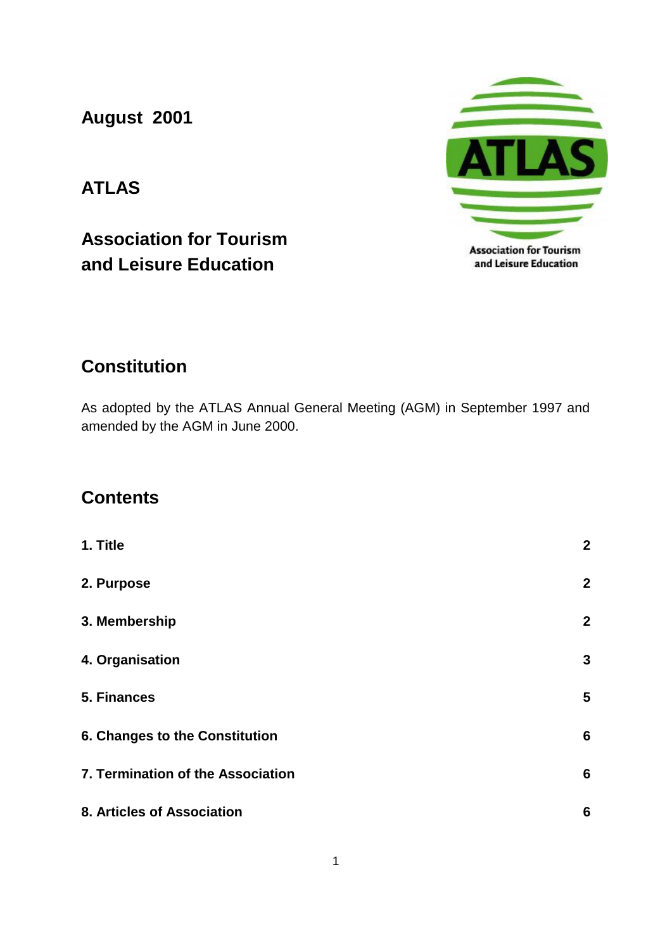**August 2001**

# **ATLAS**

**Association for Tourism and Leisure Education** 



## **Constitution**

As adopted by the ATLAS Annual General Meeting (AGM) in September 1997 and amended by the AGM in June 2000.

### **Contents**

| 1. Title                          | $\boldsymbol{2}$ |
|-----------------------------------|------------------|
| 2. Purpose                        | $\boldsymbol{2}$ |
| 3. Membership                     | $\boldsymbol{2}$ |
| 4. Organisation                   | $\mathbf{3}$     |
| 5. Finances                       | 5                |
| 6. Changes to the Constitution    | $6\phantom{1}6$  |
| 7. Termination of the Association | $6\phantom{1}6$  |
| 8. Articles of Association        | $6\phantom{1}6$  |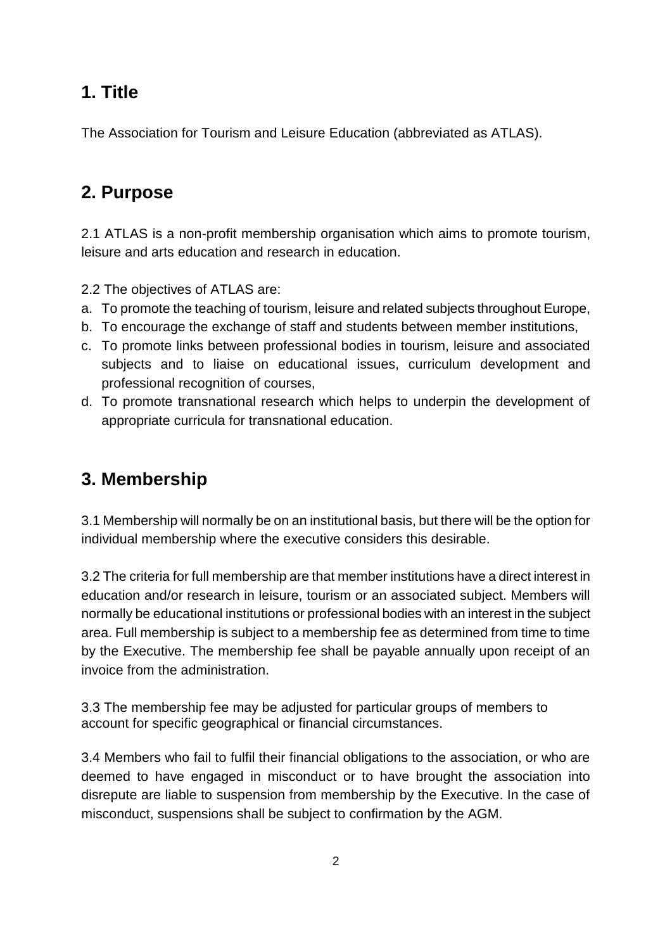## **1. Title**

The Association for Tourism and Leisure Education (abbreviated as ATLAS).

## **2. Purpose**

2.1 ATLAS is a non-profit membership organisation which aims to promote tourism, leisure and arts education and research in education.

- 2.2 The objectives of ATLAS are:
- a. To promote the teaching of tourism, leisure and related subjects throughout Europe,
- b. To encourage the exchange of staff and students between member institutions,
- c. To promote links between professional bodies in tourism, leisure and associated subjects and to liaise on educational issues, curriculum development and professional recognition of courses,
- d. To promote transnational research which helps to underpin the development of appropriate curricula for transnational education.

## **3. Membership**

3.1 Membership will normally be on an institutional basis, but there will be the option for individual membership where the executive considers this desirable.

3.2 The criteria for full membership are that member institutions have a direct interest in education and/or research in leisure, tourism or an associated subject. Members will normally be educational institutions or professional bodies with an interest in the subject area. Full membership is subject to a membership fee as determined from time to time by the Executive. The membership fee shall be payable annually upon receipt of an invoice from the administration.

3.3 The membership fee may be adjusted for particular groups of members to account for specific geographical or financial circumstances.

3.4 Members who fail to fulfil their financial obligations to the association, or who are deemed to have engaged in misconduct or to have brought the association into disrepute are liable to suspension from membership by the Executive. In the case of misconduct, suspensions shall be subject to confirmation by the AGM.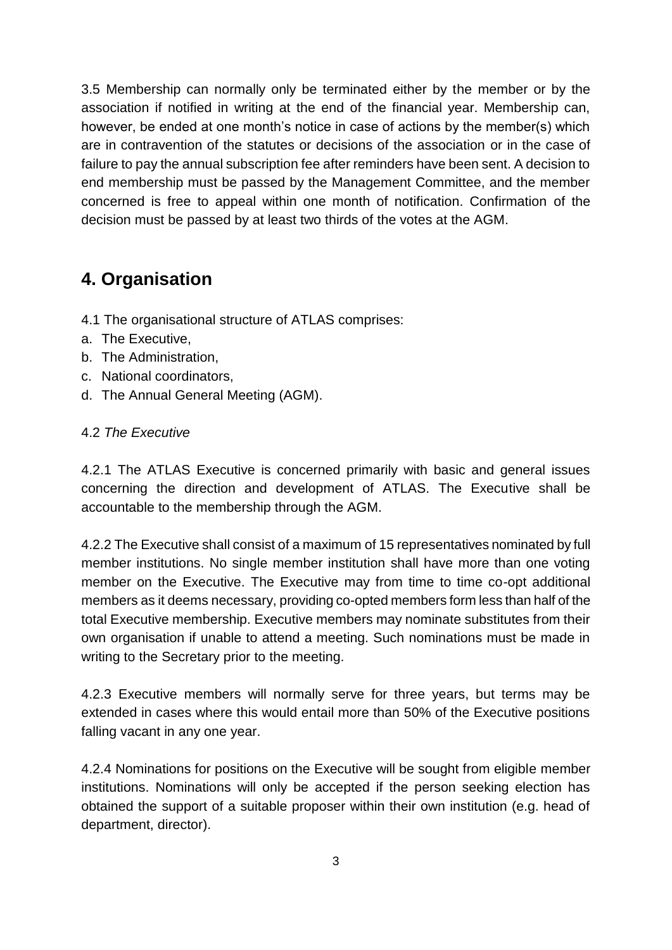3.5 Membership can normally only be terminated either by the member or by the association if notified in writing at the end of the financial year. Membership can, however, be ended at one month's notice in case of actions by the member(s) which are in contravention of the statutes or decisions of the association or in the case of failure to pay the annual subscription fee after reminders have been sent. A decision to end membership must be passed by the Management Committee, and the member concerned is free to appeal within one month of notification. Confirmation of the decision must be passed by at least two thirds of the votes at the AGM.

## **4. Organisation**

- 4.1 The organisational structure of ATLAS comprises:
- a. The Executive,
- b. The Administration,
- c. National coordinators,
- d. The Annual General Meeting (AGM).

#### 4.2 *The Executive*

4.2.1 The ATLAS Executive is concerned primarily with basic and general issues concerning the direction and development of ATLAS. The Executive shall be accountable to the membership through the AGM.

4.2.2 The Executive shall consist of a maximum of 15 representatives nominated by full member institutions. No single member institution shall have more than one voting member on the Executive. The Executive may from time to time co-opt additional members as it deems necessary, providing co-opted members form less than half of the total Executive membership. Executive members may nominate substitutes from their own organisation if unable to attend a meeting. Such nominations must be made in writing to the Secretary prior to the meeting.

4.2.3 Executive members will normally serve for three years, but terms may be extended in cases where this would entail more than 50% of the Executive positions falling vacant in any one year.

4.2.4 Nominations for positions on the Executive will be sought from eligible member institutions. Nominations will only be accepted if the person seeking election has obtained the support of a suitable proposer within their own institution (e.g. head of department, director).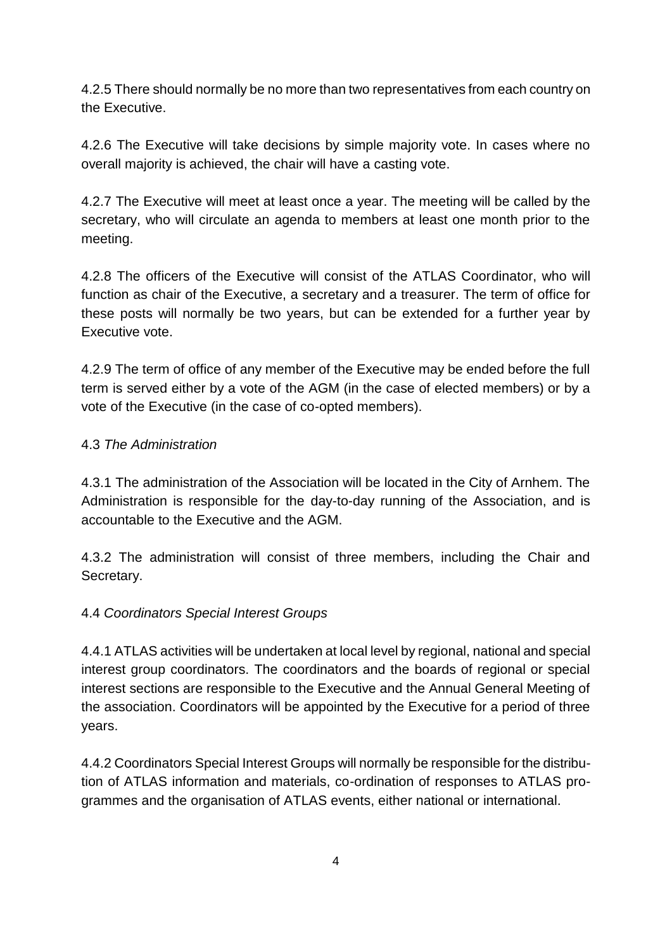4.2.5 There should normally be no more than two representatives from each country on the Executive.

4.2.6 The Executive will take decisions by simple majority vote. In cases where no overall majority is achieved, the chair will have a casting vote.

4.2.7 The Executive will meet at least once a year. The meeting will be called by the secretary, who will circulate an agenda to members at least one month prior to the meeting.

4.2.8 The officers of the Executive will consist of the ATLAS Coordinator, who will function as chair of the Executive, a secretary and a treasurer. The term of office for these posts will normally be two years, but can be extended for a further year by Executive vote.

4.2.9 The term of office of any member of the Executive may be ended before the full term is served either by a vote of the AGM (in the case of elected members) or by a vote of the Executive (in the case of co-opted members).

#### 4.3 *The Administration*

4.3.1 The administration of the Association will be located in the City of Arnhem. The Administration is responsible for the day-to-day running of the Association, and is accountable to the Executive and the AGM.

4.3.2 The administration will consist of three members, including the Chair and Secretary.

#### 4.4 *Coordinators Special Interest Groups*

4.4.1 ATLAS activities will be undertaken at local level by regional, national and special interest group coordinators. The coordinators and the boards of regional or special interest sections are responsible to the Executive and the Annual General Meeting of the association. Coordinators will be appointed by the Executive for a period of three years.

4.4.2 Coordinators Special Interest Groups will normally be responsible for the distribution of ATLAS information and materials, co-ordination of responses to ATLAS programmes and the organisation of ATLAS events, either national or international.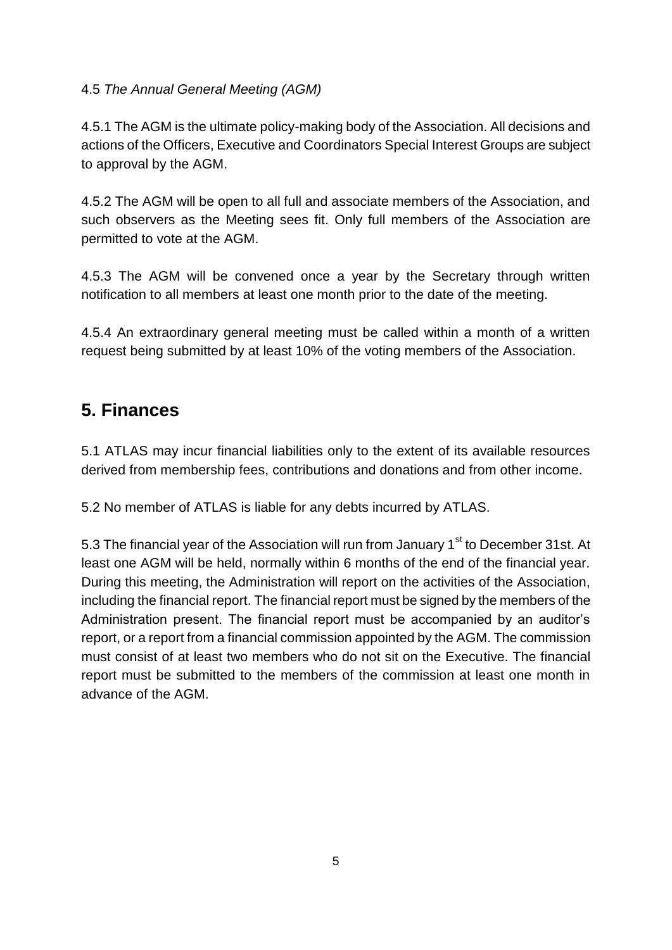### 4.5 *The Annual General Meeting (AGM)*

4.5.1 The AGM is the ultimate policy-making body of the Association. All decisions and actions of the Officers, Executive and Coordinators Special Interest Groups are subject to approval by the AGM.

4.5.2 The AGM will be open to all full and associate members of the Association, and such observers as the Meeting sees fit. Only full members of the Association are permitted to vote at the AGM.

4.5.3 The AGM will be convened once a year by the Secretary through written notification to all members at least one month prior to the date of the meeting.

4.5.4 An extraordinary general meeting must be called within a month of a written request being submitted by at least 10% of the voting members of the Association.

## **5. Finances**

5.1 ATLAS may incur financial liabilities only to the extent of its available resources derived from membership fees, contributions and donations and from other income.

5.2 No member of ATLAS is liable for any debts incurred by ATLAS.

5.3 The financial year of the Association will run from January 1<sup>st</sup> to December 31st. At least one AGM will be held, normally within 6 months of the end of the financial year. During this meeting, the Administration will report on the activities of the Association, including the financial report. The financial report must be signed by the members of the Administration present. The financial report must be accompanied by an auditor's report, or a report from a financial commission appointed by the AGM. The commission must consist of at least two members who do not sit on the Executive. The financial report must be submitted to the members of the commission at least one month in advance of the AGM.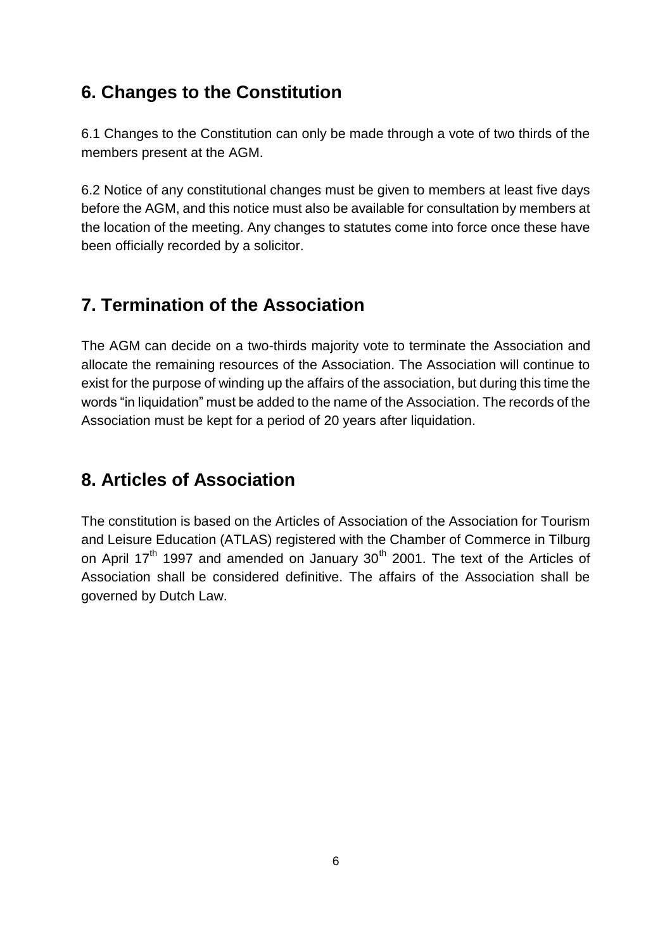### **6. Changes to the Constitution**

6.1 Changes to the Constitution can only be made through a vote of two thirds of the members present at the AGM.

6.2 Notice of any constitutional changes must be given to members at least five days before the AGM, and this notice must also be available for consultation by members at the location of the meeting. Any changes to statutes come into force once these have been officially recorded by a solicitor.

## **7. Termination of the Association**

The AGM can decide on a two-thirds majority vote to terminate the Association and allocate the remaining resources of the Association. The Association will continue to exist for the purpose of winding up the affairs of the association, but during this time the words "in liquidation" must be added to the name of the Association. The records of the Association must be kept for a period of 20 years after liquidation.

## **8. Articles of Association**

The constitution is based on the Articles of Association of the Association for Tourism and Leisure Education (ATLAS) registered with the Chamber of Commerce in Tilburg on April 17<sup>th</sup> 1997 and amended on January 30<sup>th</sup> 2001. The text of the Articles of Association shall be considered definitive. The affairs of the Association shall be governed by Dutch Law.